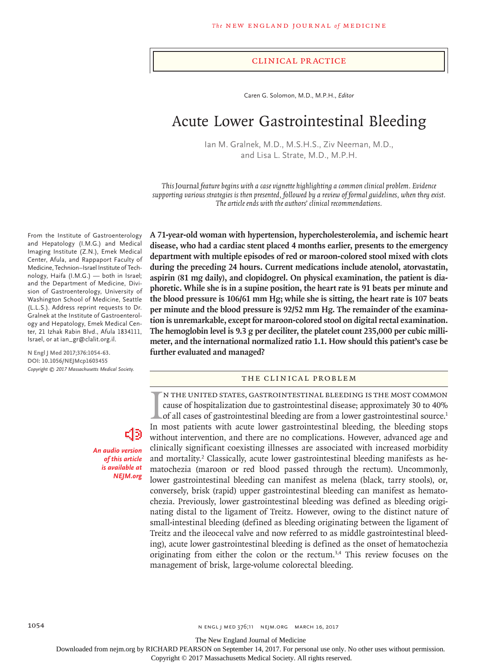#### Clinical Practice

Caren G. Solomon, M.D., M.P.H., *Editor*

# Acute Lower Gastrointestinal Bleeding

Ian M. Gralnek, M.D., M.S.H.S., Ziv Neeman, M.D., and Lisa L. Strate, M.D., M.P.H.

*This* Journal *feature begins with a case vignette highlighting a common clinical problem. Evidence supporting various strategies is then presented, followed by a review of formal guidelines, when they exist. The article ends with the authors' clinical recommendations.*

**A 71-year-old woman with hypertension, hypercholesterolemia, and ischemic heart disease, who had a cardiac stent placed 4 months earlier, presents to the emergency department with multiple episodes of red or maroon-colored stool mixed with clots during the preceding 24 hours. Current medications include atenolol, atorvastatin, aspirin (81 mg daily), and clopidogrel. On physical examination, the patient is diaphoretic. While she is in a supine position, the heart rate is 91 beats per minute and the blood pressure is 106/61 mm Hg; while she is sitting, the heart rate is 107 beats per minute and the blood pressure is 92/52 mm Hg. The remainder of the examination is unremarkable, except for maroon-colored stool on digital rectal examination. The hemoglobin level is 9.3 g per deciliter, the platelet count 235,000 per cubic millimeter, and the international normalized ratio 1.1. How should this patient's case be further evaluated and managed?**

# The Clinical Problem

IN THE UNITED STATES, GASTROINTESTINAL BLEEDING IS THE MOST COMMON cause of hospitalization due to gastrointestinal disease; approximately 30 to 40% of all cases of gastrointestinal bleeding are from a lower gastrointestin n the United States, gastrointestinal bleeding is the most common cause of hospitalization due to gastrointestinal disease; approximately 30 to 40% of all cases of gastrointestinal bleeding are from a lower gastrointestinal source.<sup>1</sup> without intervention, and there are no complications. However, advanced age and clinically significant coexisting illnesses are associated with increased morbidity and mortality.<sup>2</sup> Classically, acute lower gastrointestinal bleeding manifests as hematochezia (maroon or red blood passed through the rectum). Uncommonly, lower gastrointestinal bleeding can manifest as melena (black, tarry stools), or, conversely, brisk (rapid) upper gastrointestinal bleeding can manifest as hematochezia. Previously, lower gastrointestinal bleeding was defined as bleeding originating distal to the ligament of Treitz. However, owing to the distinct nature of small-intestinal bleeding (defined as bleeding originating between the ligament of Treitz and the ileocecal valve and now referred to as middle gastrointestinal bleeding), acute lower gastrointestinal bleeding is defined as the onset of hematochezia originating from either the colon or the rectum.3,4 This review focuses on the management of brisk, large-volume colorectal bleeding.

From the Institute of Gastroenterology and Hepatology (I.M.G.) and Medical Imaging Institute (Z.N.), Emek Medical Center, Afula, and Rappaport Faculty of Medicine, Technion–Israel Institute of Technology, Haifa (I.M.G.) — both in Israel; and the Department of Medicine, Division of Gastroenterology, University of Washington School of Medicine, Seattle (L.L.S.). Address reprint requests to Dr. Gralnek at the Institute of Gastroenterology and Hepatology, Emek Medical Center, 21 Izhak Rabin Blvd., Afula 1834111, Israel, or at ian\_gr@clalit.org.il.

**N Engl J Med 2017;376:1054-63. DOI: 10.1056/NEJMcp1603455** *Copyright © 2017 Massachusetts Medical Society.*

> *An audio version of this article is available at NEJM.org*

The New England Journal of Medicine

Downloaded from nejm.org by RICHARD PEARSON on September 14, 2017. For personal use only. No other uses without permission.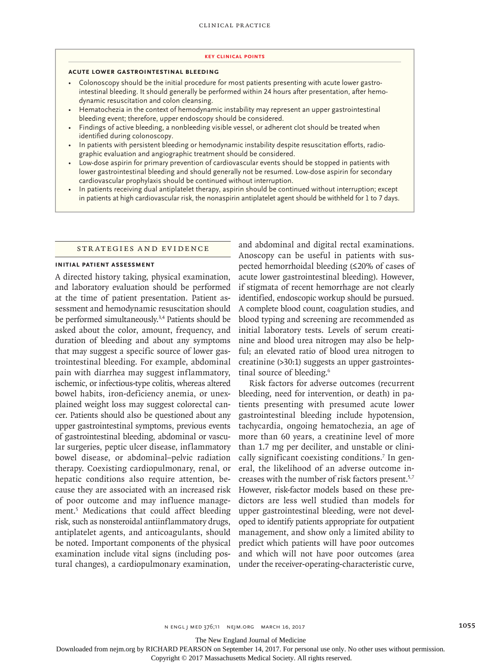#### **Key Clinical Points**

#### **Acute Lower Gastrointestinal Bleeding**

- Colonoscopy should be the initial procedure for most patients presenting with acute lower gastrointestinal bleeding. It should generally be performed within 24 hours after presentation, after hemodynamic resuscitation and colon cleansing.
- Hematochezia in the context of hemodynamic instability may represent an upper gastrointestinal bleeding event; therefore, upper endoscopy should be considered.
- Findings of active bleeding, a nonbleeding visible vessel, or adherent clot should be treated when identified during colonoscopy.
- In patients with persistent bleeding or hemodynamic instability despite resuscitation efforts, radiographic evaluation and angiographic treatment should be considered.
- Low-dose aspirin for primary prevention of cardiovascular events should be stopped in patients with lower gastrointestinal bleeding and should generally not be resumed. Low-dose aspirin for secondary cardiovascular prophylaxis should be continued without interruption.
- In patients receiving dual antiplatelet therapy, aspirin should be continued without interruption; except in patients at high cardiovascular risk, the nonaspirin antiplatelet agent should be withheld for 1 to 7 days.

#### Strategies and Evidence

#### **Initial Patient Assessment**

A directed history taking, physical examination, and laboratory evaluation should be performed at the time of patient presentation. Patient assessment and hemodynamic resuscitation should be performed simultaneously.3,4 Patients should be asked about the color, amount, frequency, and duration of bleeding and about any symptoms that may suggest a specific source of lower gastrointestinal bleeding. For example, abdominal pain with diarrhea may suggest inflammatory, ischemic, or infectious-type colitis, whereas altered bowel habits, iron-deficiency anemia, or unexplained weight loss may suggest colorectal cancer. Patients should also be questioned about any upper gastrointestinal symptoms, previous events of gastrointestinal bleeding, abdominal or vascular surgeries, peptic ulcer disease, inflammatory bowel disease, or abdominal–pelvic radiation therapy. Coexisting cardiopulmonary, renal, or hepatic conditions also require attention, because they are associated with an increased risk of poor outcome and may influence management.5 Medications that could affect bleeding risk, such as nonsteroidal antiinflammatory drugs, antiplatelet agents, and anticoagulants, should be noted. Important components of the physical examination include vital signs (including postural changes), a cardiopulmonary examination,

and abdominal and digital rectal examinations. Anoscopy can be useful in patients with suspected hemorrhoidal bleeding (≤20% of cases of acute lower gastrointestinal bleeding). However, if stigmata of recent hemorrhage are not clearly identified, endoscopic workup should be pursued. A complete blood count, coagulation studies, and blood typing and screening are recommended as initial laboratory tests. Levels of serum creatinine and blood urea nitrogen may also be helpful; an elevated ratio of blood urea nitrogen to creatinine (>30:1) suggests an upper gastrointestinal source of bleeding.<sup>6</sup>

Risk factors for adverse outcomes (recurrent bleeding, need for intervention, or death) in patients presenting with presumed acute lower gastrointestinal bleeding include hypotension, tachycardia, ongoing hematochezia, an age of more than 60 years, a creatinine level of more than 1.7 mg per deciliter, and unstable or clinically significant coexisting conditions.<sup>7</sup> In general, the likelihood of an adverse outcome increases with the number of risk factors present.5,7 However, risk-factor models based on these predictors are less well studied than models for upper gastrointestinal bleeding, were not developed to identify patients appropriate for outpatient management, and show only a limited ability to predict which patients will have poor outcomes and which will not have poor outcomes (area under the receiver-operating-characteristic curve,

The New England Journal of Medicine

Downloaded from nejm.org by RICHARD PEARSON on September 14, 2017. For personal use only. No other uses without permission.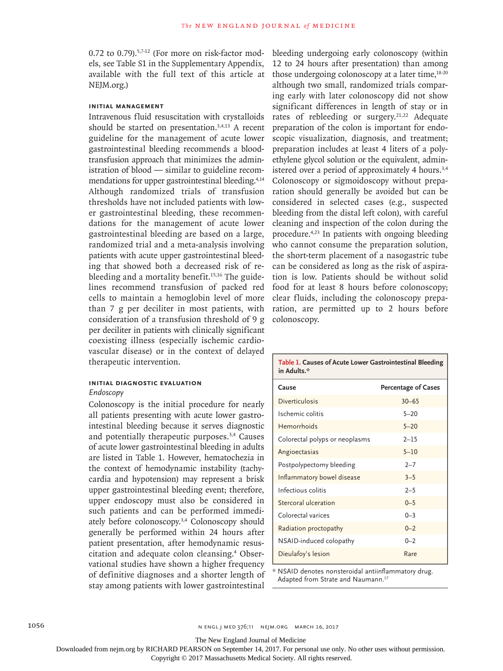0.72 to 0.79). $57-12$  (For more on risk-factor models, see Table S1 in the Supplementary Appendix, available with the full text of this article at NEJM.org.)

## **Initial Management**

Intravenous fluid resuscitation with crystalloids should be started on presentation.3,4,13 A recent guideline for the management of acute lower gastrointestinal bleeding recommends a bloodtransfusion approach that minimizes the administration of blood — similar to guideline recommendations for upper gastrointestinal bleeding.<sup>4,14</sup> Although randomized trials of transfusion thresholds have not included patients with lower gastrointestinal bleeding, these recommendations for the management of acute lower gastrointestinal bleeding are based on a large, randomized trial and a meta-analysis involving patients with acute upper gastrointestinal bleeding that showed both a decreased risk of rebleeding and a mortality benefit.<sup>15,16</sup> The guidelines recommend transfusion of packed red cells to maintain a hemoglobin level of more than 7 g per deciliter in most patients, with consideration of a transfusion threshold of 9 g per deciliter in patients with clinically significant coexisting illness (especially ischemic cardiovascular disease) or in the context of delayed therapeutic intervention.

# **Initial Diagnostic Evaluation**

# *Endoscopy*

Colonoscopy is the initial procedure for nearly all patients presenting with acute lower gastrointestinal bleeding because it serves diagnostic and potentially therapeutic purposes.3,4 Causes of acute lower gastrointestinal bleeding in adults are listed in Table 1. However, hematochezia in the context of hemodynamic instability (tachycardia and hypotension) may represent a brisk upper gastrointestinal bleeding event; therefore, upper endoscopy must also be considered in such patients and can be performed immediately before colonoscopy.3,4 Colonoscopy should generally be performed within 24 hours after patient presentation, after hemodynamic resuscitation and adequate colon cleansing.4 Observational studies have shown a higher frequency of definitive diagnoses and a shorter length of stay among patients with lower gastrointestinal

bleeding undergoing early colonoscopy (within 12 to 24 hours after presentation) than among those undergoing colonoscopy at a later time, $18-20$ although two small, randomized trials comparing early with later colonoscopy did not show significant differences in length of stay or in rates of rebleeding or surgery.<sup>21,22</sup> Adequate preparation of the colon is important for endoscopic visualization, diagnosis, and treatment; preparation includes at least 4 liters of a polyethylene glycol solution or the equivalent, administered over a period of approximately 4 hours.<sup>3,4</sup> Colonoscopy or sigmoidoscopy without preparation should generally be avoided but can be considered in selected cases (e.g., suspected bleeding from the distal left colon), with careful cleaning and inspection of the colon during the procedure.4,23 In patients with ongoing bleeding who cannot consume the preparation solution, the short-term placement of a nasogastric tube can be considered as long as the risk of aspiration is low. Patients should be without solid food for at least 8 hours before colonoscopy; clear fluids, including the colonoscopy preparation, are permitted up to 2 hours before colonoscopy.

| Table 1. Causes of Acute Lower Gastrointestinal Bleeding<br>in Adults.* |                            |  |
|-------------------------------------------------------------------------|----------------------------|--|
| Cause                                                                   | <b>Percentage of Cases</b> |  |
| <b>Diverticulosis</b>                                                   | $30 - 65$                  |  |
| Ischemic colitis                                                        | $5 - 20$                   |  |
| Hemorrhoids                                                             | $5 - 20$                   |  |
| Colorectal polyps or neoplasms                                          | $2 - 15$                   |  |
| Angioectasias                                                           | $5 - 10$                   |  |
| Postpolypectomy bleeding                                                | $2 - 7$                    |  |
| Inflammatory bowel disease                                              | $3 - 5$                    |  |
| Infectious colitis                                                      | $2 - 5$                    |  |
| Stercoral ulceration                                                    | $0 - 5$                    |  |
| Colorectal varices                                                      | $0 - 3$                    |  |
| Radiation proctopathy                                                   | $0 - 2$                    |  |
| NSAID-induced colopathy                                                 | $0 - 2$                    |  |
| Dieulafoy's lesion                                                      | Rare                       |  |

\* NSAID denotes nonsteroidal antiinflammatory drug. Adapted from Strate and Naumann.<sup>17</sup>

The New England Journal of Medicine

Downloaded from nejm.org by RICHARD PEARSON on September 14, 2017. For personal use only. No other uses without permission.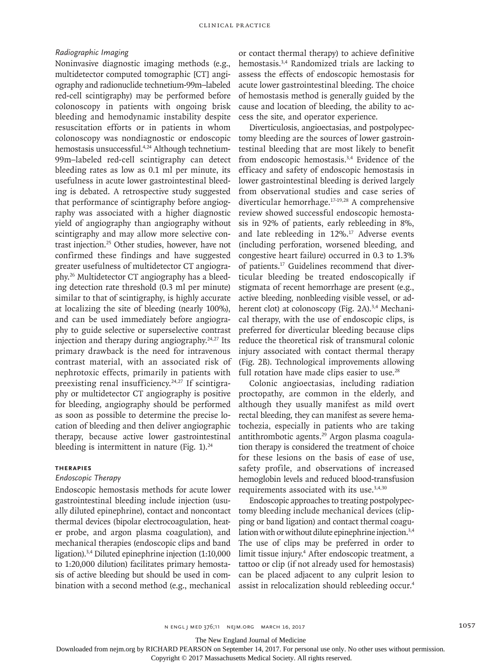## *Radiographic Imaging*

Noninvasive diagnostic imaging methods (e.g., multidetector computed tomographic [CT] angiography and radionuclide technetium-99m–labeled red-cell scintigraphy) may be performed before colonoscopy in patients with ongoing brisk bleeding and hemodynamic instability despite resuscitation efforts or in patients in whom colonoscopy was nondiagnostic or endoscopic hemostasis unsuccessful.<sup>4,24</sup> Although technetium-99m–labeled red-cell scintigraphy can detect bleeding rates as low as 0.1 ml per minute, its usefulness in acute lower gastrointestinal bleeding is debated. A retrospective study suggested that performance of scintigraphy before angiography was associated with a higher diagnostic yield of angiography than angiography without scintigraphy and may allow more selective contrast injection.25 Other studies, however, have not confirmed these findings and have suggested greater usefulness of multidetector CT angiography.26 Multidetector CT angiography has a bleeding detection rate threshold (0.3 ml per minute) similar to that of scintigraphy, is highly accurate at localizing the site of bleeding (nearly 100%), and can be used immediately before angiography to guide selective or superselective contrast injection and therapy during angiography.24,27 Its primary drawback is the need for intravenous contrast material, with an associated risk of nephrotoxic effects, primarily in patients with preexisting renal insufficiency.<sup>24,27</sup> If scintigraphy or multidetector CT angiography is positive for bleeding, angiography should be performed as soon as possible to determine the precise location of bleeding and then deliver angiographic therapy, because active lower gastrointestinal bleeding is intermittent in nature (Fig.  $1$ ).<sup>24</sup>

## **Therapies**

#### *Endoscopic Therapy*

Endoscopic hemostasis methods for acute lower gastrointestinal bleeding include injection (usually diluted epinephrine), contact and noncontact thermal devices (bipolar electrocoagulation, heater probe, and argon plasma coagulation), and mechanical therapies (endoscopic clips and band ligation).3,4 Diluted epinephrine injection (1:10,000 to 1:20,000 dilution) facilitates primary hemostasis of active bleeding but should be used in combination with a second method (e.g., mechanical or contact thermal therapy) to achieve definitive hemostasis.3,4 Randomized trials are lacking to assess the effects of endoscopic hemostasis for acute lower gastrointestinal bleeding. The choice of hemostasis method is generally guided by the cause and location of bleeding, the ability to access the site, and operator experience.

Diverticulosis, angioectasias, and postpolypectomy bleeding are the sources of lower gastrointestinal bleeding that are most likely to benefit from endoscopic hemostasis.<sup>3,4</sup> Evidence of the efficacy and safety of endoscopic hemostasis in lower gastrointestinal bleeding is derived largely from observational studies and case series of diverticular hemorrhage.17-19,28 A comprehensive review showed successful endoscopic hemostasis in 92% of patients, early rebleeding in 8%, and late rebleeding in 12%.<sup>17</sup> Adverse events (including perforation, worsened bleeding, and congestive heart failure) occurred in 0.3 to 1.3% of patients.17 Guidelines recommend that diverticular bleeding be treated endoscopically if stigmata of recent hemorrhage are present (e.g., active bleeding, nonbleeding visible vessel, or adherent clot) at colonoscopy (Fig. 2A).<sup>3,4</sup> Mechanical therapy, with the use of endoscopic clips, is preferred for diverticular bleeding because clips reduce the theoretical risk of transmural colonic injury associated with contact thermal therapy (Fig. 2B). Technological improvements allowing full rotation have made clips easier to use.<sup>28</sup>

Colonic angioectasias, including radiation proctopathy, are common in the elderly, and although they usually manifest as mild overt rectal bleeding, they can manifest as severe hematochezia, especially in patients who are taking antithrombotic agents.29 Argon plasma coagulation therapy is considered the treatment of choice for these lesions on the basis of ease of use, safety profile, and observations of increased hemoglobin levels and reduced blood-transfusion requirements associated with its use.<sup>3,4,30</sup>

Endoscopic approaches to treating postpolypectomy bleeding include mechanical devices (clipping or band ligation) and contact thermal coagulation with or without dilute epinephrine injection.<sup>3,4</sup> The use of clips may be preferred in order to limit tissue injury.4 After endoscopic treatment, a tattoo or clip (if not already used for hemostasis) can be placed adjacent to any culprit lesion to assist in relocalization should rebleeding occur.4

n engl j med 376;11 nejm.org March 16, 2017 1057

The New England Journal of Medicine

Downloaded from nejm.org by RICHARD PEARSON on September 14, 2017. For personal use only. No other uses without permission.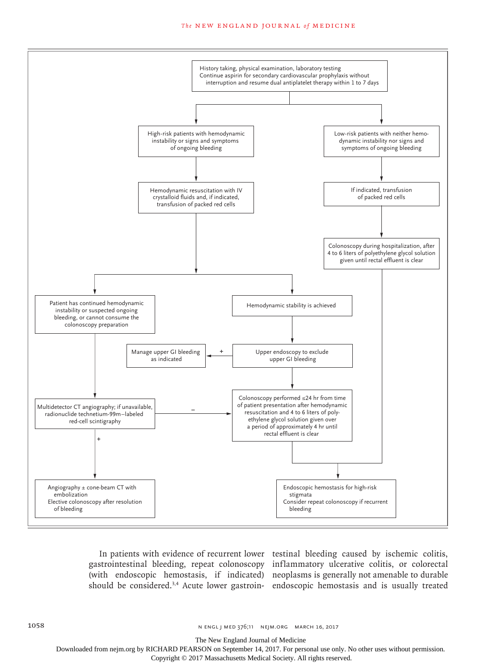#### **The NEW ENGLAND JOURNAL of MEDICINE**



In patients with evidence of recurrent lower testinal bleeding caused by ischemic colitis, gastrointestinal bleeding, repeat colonoscopy inflammatory ulcerative colitis, or colorectal (with endoscopic hemostasis, if indicated) neoplasms is generally not amenable to durable should be considered.3,4 Acute lower gastroin-endoscopic hemostasis and is usually treated

The New England Journal of Medicine

Downloaded from nejm.org by RICHARD PEARSON on September 14, 2017. For personal use only. No other uses without permission.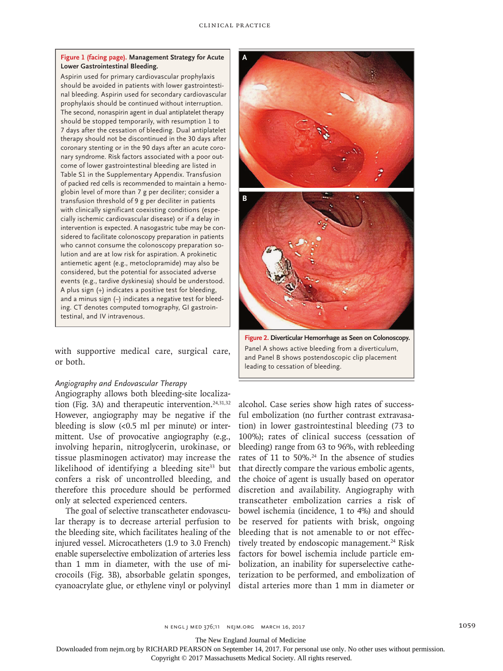#### **Figure 1 (facing page). Management Strategy for Acute Lower Gastrointestinal Bleeding.**

Aspirin used for primary cardiovascular prophylaxis should be avoided in patients with lower gastrointestinal bleeding. Aspirin used for secondary cardiovascular prophylaxis should be continued without interruption. The second, nonaspirin agent in dual antiplatelet therapy should be stopped temporarily, with resumption 1 to 7 days after the cessation of bleeding. Dual antiplatelet therapy should not be discontinued in the 30 days after coronary stenting or in the 90 days after an acute coronary syndrome. Risk factors associated with a poor outcome of lower gastrointestinal bleeding are listed in Table S1 in the Supplementary Appendix. Transfusion of packed red cells is recommended to maintain a hemoglobin level of more than 7 g per deciliter; consider a transfusion threshold of 9 g per deciliter in patients with clinically significant coexisting conditions (especially ischemic cardiovascular disease) or if a delay in intervention is expected. A nasogastric tube may be considered to facilitate colonoscopy preparation in patients who cannot consume the colonoscopy preparation solution and are at low risk for aspiration. A prokinetic antiemetic agent (e.g., metoclopramide) may also be considered, but the potential for associated adverse events (e.g., tardive dyskinesia) should be understood. A plus sign (+) indicates a positive test for bleeding, and a minus sign (−) indicates a negative test for bleeding. CT denotes computed tomography, GI gastrointestinal, and IV intravenous.

with supportive medical care, surgical care, or both.

#### *Angiography and Endovascular Therapy*

Angiography allows both bleeding-site localization (Fig. 3A) and therapeutic intervention. $24,31,32$ However, angiography may be negative if the bleeding is slow  $\left($ <0.5 ml per minute) or intermittent. Use of provocative angiography (e.g., involving heparin, nitroglycerin, urokinase, or tissue plasminogen activator) may increase the likelihood of identifying a bleeding site $33$  but confers a risk of uncontrolled bleeding, and therefore this procedure should be performed only at selected experienced centers.

The goal of selective transcatheter endovascular therapy is to decrease arterial perfusion to the bleeding site, which facilitates healing of the injured vessel. Microcatheters (1.9 to 3.0 French) enable superselective embolization of arteries less than 1 mm in diameter, with the use of microcoils (Fig. 3B), absorbable gelatin sponges,



Panel A shows active bleeding from a diverticulum, and Panel B shows postendoscopic clip placement leading to cessation of bleeding.

cyanoacrylate glue, or ethylene vinyl or polyvinyl distal arteries more than 1 mm in diameter or alcohol. Case series show high rates of successful embolization (no further contrast extravasation) in lower gastrointestinal bleeding (73 to 100%); rates of clinical success (cessation of bleeding) range from 63 to 96%, with rebleeding rates of 11 to 50%.<sup>24</sup> In the absence of studies that directly compare the various embolic agents, the choice of agent is usually based on operator discretion and availability. Angiography with transcatheter embolization carries a risk of bowel ischemia (incidence, 1 to 4%) and should be reserved for patients with brisk, ongoing bleeding that is not amenable to or not effectively treated by endoscopic management.<sup>24</sup> Risk factors for bowel ischemia include particle embolization, an inability for superselective catheterization to be performed, and embolization of

The New England Journal of Medicine

Downloaded from nejm.org by RICHARD PEARSON on September 14, 2017. For personal use only. No other uses without permission.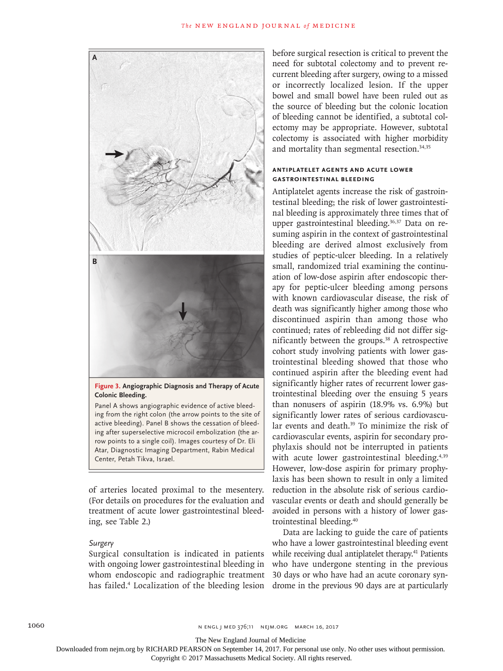

Panel A shows angiographic evidence of active bleeding from the right colon (the arrow points to the site of active bleeding). Panel B shows the cessation of bleeding after superselective microcoil embolization (the arrow points to a single coil). Images courtesy of Dr. Eli Atar, Diagnostic Imaging Department, Rabin Medical Center, Petah Tikva, Israel.

of arteries located proximal to the mesentery. (For details on procedures for the evaluation and treatment of acute lower gastrointestinal bleeding, see Table 2.)

#### *Surgery*

Surgical consultation is indicated in patients with ongoing lower gastrointestinal bleeding in whom endoscopic and radiographic treatment has failed.4 Localization of the bleeding lesion before surgical resection is critical to prevent the need for subtotal colectomy and to prevent recurrent bleeding after surgery, owing to a missed or incorrectly localized lesion. If the upper bowel and small bowel have been ruled out as the source of bleeding but the colonic location of bleeding cannot be identified, a subtotal colectomy may be appropriate. However, subtotal colectomy is associated with higher morbidity and mortality than segmental resection.<sup>34,35</sup>

## **Antiplatelet Agents and Acute Lower Gastrointestinal Bleeding**

Antiplatelet agents increase the risk of gastrointestinal bleeding; the risk of lower gastrointestinal bleeding is approximately three times that of upper gastrointestinal bleeding.36,37 Data on resuming aspirin in the context of gastrointestinal bleeding are derived almost exclusively from studies of peptic-ulcer bleeding. In a relatively small, randomized trial examining the continuation of low-dose aspirin after endoscopic therapy for peptic-ulcer bleeding among persons with known cardiovascular disease, the risk of death was significantly higher among those who discontinued aspirin than among those who continued; rates of rebleeding did not differ significantly between the groups.38 A retrospective cohort study involving patients with lower gastrointestinal bleeding showed that those who continued aspirin after the bleeding event had significantly higher rates of recurrent lower gastrointestinal bleeding over the ensuing 5 years than nonusers of aspirin (18.9% vs. 6.9%) but significantly lower rates of serious cardiovascular events and death.39 To minimize the risk of cardiovascular events, aspirin for secondary prophylaxis should not be interrupted in patients with acute lower gastrointestinal bleeding.<sup>4,39</sup> However, low-dose aspirin for primary prophylaxis has been shown to result in only a limited reduction in the absolute risk of serious cardiovascular events or death and should generally be avoided in persons with a history of lower gastrointestinal bleeding.40

Data are lacking to guide the care of patients who have a lower gastrointestinal bleeding event while receiving dual antiplatelet therapy.<sup>41</sup> Patients who have undergone stenting in the previous 30 days or who have had an acute coronary syndrome in the previous 90 days are at particularly

The New England Journal of Medicine

Downloaded from nejm.org by RICHARD PEARSON on September 14, 2017. For personal use only. No other uses without permission.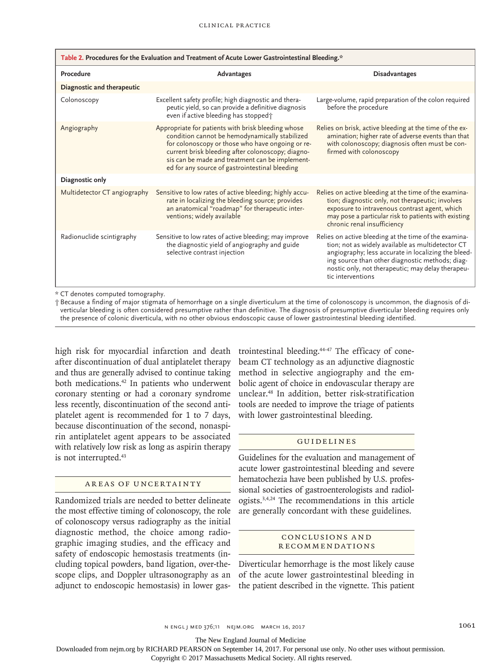| Table 2. Procedures for the Evaluation and Treatment of Acute Lower Gastrointestinal Bleeding.* |                                                                                                                                                                                                                                                                                                                    |                                                                                                                                                                                                                                                                                                |  |
|-------------------------------------------------------------------------------------------------|--------------------------------------------------------------------------------------------------------------------------------------------------------------------------------------------------------------------------------------------------------------------------------------------------------------------|------------------------------------------------------------------------------------------------------------------------------------------------------------------------------------------------------------------------------------------------------------------------------------------------|--|
| Procedure                                                                                       | Advantages                                                                                                                                                                                                                                                                                                         | <b>Disadvantages</b>                                                                                                                                                                                                                                                                           |  |
| Diagnostic and therapeutic                                                                      |                                                                                                                                                                                                                                                                                                                    |                                                                                                                                                                                                                                                                                                |  |
| Colonoscopy                                                                                     | Excellent safety profile; high diagnostic and thera-<br>peutic yield, so can provide a definitive diagnosis<br>even if active bleeding has stopped <sup>+</sup>                                                                                                                                                    | Large-volume, rapid preparation of the colon required<br>before the procedure                                                                                                                                                                                                                  |  |
| Angiography                                                                                     | Appropriate for patients with brisk bleeding whose<br>condition cannot be hemodynamically stabilized<br>for colonoscopy or those who have ongoing or re-<br>current brisk bleeding after colonoscopy; diagno-<br>sis can be made and treatment can be implement-<br>ed for any source of gastrointestinal bleeding | Relies on brisk, active bleeding at the time of the ex-<br>amination; higher rate of adverse events than that<br>with colonoscopy; diagnosis often must be con-<br>firmed with colonoscopy                                                                                                     |  |
| Diagnostic only                                                                                 |                                                                                                                                                                                                                                                                                                                    |                                                                                                                                                                                                                                                                                                |  |
| Multidetector CT angiography                                                                    | Sensitive to low rates of active bleeding; highly accu-<br>rate in localizing the bleeding source; provides<br>an anatomical "roadmap" for therapeutic inter-<br>ventions; widely available                                                                                                                        | Relies on active bleeding at the time of the examina-<br>tion; diagnostic only, not therapeutic; involves<br>exposure to intravenous contrast agent, which<br>may pose a particular risk to patients with existing<br>chronic renal insufficiency                                              |  |
| Radionuclide scintigraphy                                                                       | Sensitive to low rates of active bleeding; may improve<br>the diagnostic yield of angiography and guide<br>selective contrast injection                                                                                                                                                                            | Relies on active bleeding at the time of the examina-<br>tion; not as widely available as multidetector CT<br>angiography; less accurate in localizing the bleed-<br>ing source than other diagnostic methods; diag-<br>nostic only, not therapeutic; may delay therapeu-<br>tic interventions |  |

\* CT denotes computed tomography.

† Because a finding of major stigmata of hemorrhage on a single diverticulum at the time of colonoscopy is uncommon, the diagnosis of diverticular bleeding is often considered presumptive rather than definitive. The diagnosis of presumptive diverticular bleeding requires only the presence of colonic diverticula, with no other obvious endoscopic cause of lower gastrointestinal bleeding identified.

high risk for myocardial infarction and death after discontinuation of dual antiplatelet therapy and thus are generally advised to continue taking both medications.<sup>42</sup> In patients who underwent coronary stenting or had a coronary syndrome less recently, discontinuation of the second antiplatelet agent is recommended for 1 to 7 days, because discontinuation of the second, nonaspirin antiplatelet agent appears to be associated with relatively low risk as long as aspirin therapy is not interrupted.43

## Areas of Uncertainty

Randomized trials are needed to better delineate the most effective timing of colonoscopy, the role of colonoscopy versus radiography as the initial diagnostic method, the choice among radiographic imaging studies, and the efficacy and safety of endoscopic hemostasis treatments (including topical powders, band ligation, over-thescope clips, and Doppler ultrasonography as an adjunct to endoscopic hemostasis) in lower gastrointestinal bleeding.44-47 The efficacy of conebeam CT technology as an adjunctive diagnostic method in selective angiography and the embolic agent of choice in endovascular therapy are unclear.48 In addition, better risk-stratification tools are needed to improve the triage of patients with lower gastrointestinal bleeding.

#### Guidelines

Guidelines for the evaluation and management of acute lower gastrointestinal bleeding and severe hematochezia have been published by U.S. professional societies of gastroenterologists and radiologists.3,4,24 The recommendations in this article are generally concordant with these guidelines.

## Conclusions a nd Recommendations

Diverticular hemorrhage is the most likely cause of the acute lower gastrointestinal bleeding in the patient described in the vignette. This patient

The New England Journal of Medicine

Downloaded from nejm.org by RICHARD PEARSON on September 14, 2017. For personal use only. No other uses without permission.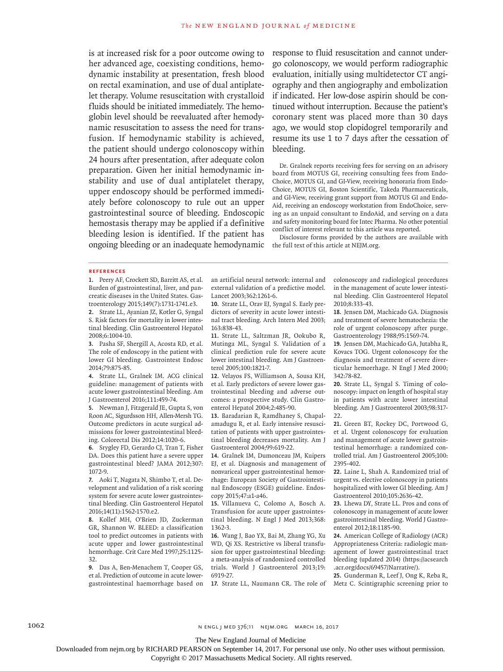is at increased risk for a poor outcome owing to her advanced age, coexisting conditions, hemodynamic instability at presentation, fresh blood on rectal examination, and use of dual antiplatelet therapy. Volume resuscitation with crystalloid fluids should be initiated immediately. The hemoglobin level should be reevaluated after hemodynamic resuscitation to assess the need for transfusion. If hemodynamic stability is achieved, the patient should undergo colonoscopy within 24 hours after presentation, after adequate colon preparation. Given her initial hemodynamic instability and use of dual antiplatelet therapy, upper endoscopy should be performed immediately before colonoscopy to rule out an upper gastrointestinal source of bleeding. Endoscopic hemostasis therapy may be applied if a definitive bleeding lesion is identified. If the patient has ongoing bleeding or an inadequate hemodynamic response to fluid resuscitation and cannot undergo colonoscopy, we would perform radiographic evaluation, initially using multidetector CT angiography and then angiography and embolization if indicated. Her low-dose aspirin should be continued without interruption. Because the patient's coronary stent was placed more than 30 days ago, we would stop clopidogrel temporarily and resume its use 1 to 7 days after the cessation of bleeding.

Dr. Gralnek reports receiving fees for serving on an advisory board from MOTUS GI, receiving consulting fees from Endo-Choice, MOTUS GI, and GI-View, receiving honoraria from Endo-Choice, MOTUS GI, Boston Scientific, Takeda Pharmaceuticals, and GI-View, receiving grant support from MOTUS GI and Endo-Aid, receiving an endoscopy workstation from EndoChoice, serving as an unpaid consultant to EndoAid, and serving on a data and safety monitoring board for Intec Pharma. No other potential conflict of interest relevant to this article was reported.

Disclosure forms provided by the authors are available with the full text of this article at NEJM.org.

#### **References**

**1.** Peery AF, Crockett SD, Barritt AS, et al. Burden of gastrointestinal, liver, and pancreatic diseases in the United States. Gastroenterology 2015;149(7):1731-1741.e3.

**2.** Strate LL, Ayanian JZ, Kotler G, Syngal S. Risk factors for mortality in lower intestinal bleeding. Clin Gastroenterol Hepatol 2008;6:1004-10.

**3.** Pasha SF, Shergill A, Acosta RD, et al. The role of endoscopy in the patient with lower GI bleeding. Gastrointest Endosc 2014;79:875-85.

**4.** Strate LL, Gralnek IM. ACG clinical guideline: management of patients with acute lower gastrointestinal bleeding. Am J Gastroenterol 2016;111:459-74.

**5.** Newman J, Fitzgerald JE, Gupta S, von Roon AC, Sigurdsson HH, Allen-Mersh TG. Outcome predictors in acute surgical admissions for lower gastrointestinal bleeding. Colorectal Dis 2012;14:1020-6.

**6.** Srygley FD, Gerardo CJ, Tran T, Fisher DA. Does this patient have a severe upper gastrointestinal bleed? JAMA 2012;307: 1072-9.

**7.** Aoki T, Nagata N, Shimbo T, et al. Development and validation of a risk scoring system for severe acute lower gastrointestinal bleeding. Clin Gastroenterol Hepatol 2016;14(11):1562-1570.e2.

**8.** Kollef MH, O'Brien JD, Zuckerman GR, Shannon W. BLEED: a classification tool to predict outcomes in patients with acute upper and lower gastrointestinal hemorrhage. Crit Care Med 1997;25:1125- 32.

**9.** Das A, Ben-Menachem T, Cooper GS, et al. Prediction of outcome in acute lowergastrointestinal haemorrhage based on an artificial neural network: internal and external validation of a predictive model. Lancet 2003;362:1261-6.

**10.** Strate LL, Orav EJ, Syngal S. Early predictors of severity in acute lower intestinal tract bleeding. Arch Intern Med 2003; 163:838-43.

**11.** Strate LL, Saltzman JR, Ookubo R, Mutinga ML, Syngal S. Validation of a clinical prediction rule for severe acute lower intestinal bleeding. Am J Gastroenterol 2005;100:1821-7.

**12.** Velayos FS, Williamson A, Sousa KH, et al. Early predictors of severe lower gastrointestinal bleeding and adverse outcomes: a prospective study. Clin Gastroenterol Hepatol 2004;2:485-90.

**13.** Baradarian R, Ramdhaney S, Chapalamadugu R, et al. Early intensive resuscitation of patients with upper gastrointestinal bleeding decreases mortality. Am J Gastroenterol 2004;99:619-22.

**14.** Gralnek IM, Dumonceau JM, Kuipers EJ, et al. Diagnosis and management of nonvariceal upper gastrointestinal hemorrhage: European Society of Gastrointestinal Endoscopy (ESGE) guideline. Endoscopy 2015;47:a1-a46.

**15.** Villanueva C, Colomo A, Bosch A. Transfusion for acute upper gastrointestinal bleeding. N Engl J Med 2013;368: 1362-3.

**16.** Wang J, Bao YX, Bai M, Zhang YG, Xu WD, Qi XS. Restrictive vs liberal transfusion for upper gastrointestinal bleeding: a meta-analysis of randomized controlled trials. World J Gastroenterol 2013;19: 6919-27.

colonoscopy and radiological procedures in the management of acute lower intestinal bleeding. Clin Gastroenterol Hepatol 2010;8:333-43.

**18.** Jensen DM, Machicado GA. Diagnosis and treatment of severe hematochezia: the role of urgent colonoscopy after purge. Gastroenterology 1988;95:1569-74.

**19.** Jensen DM, Machicado GA, Jutabha R, Kovacs TOG. Urgent colonoscopy for the diagnosis and treatment of severe diverticular hemorrhage. N Engl J Med 2000; 342:78-82.

**20.** Strate LL, Syngal S. Timing of colonoscopy: impact on length of hospital stay in patients with acute lower intestinal bleeding. Am J Gastroenterol 2003;98:317- 22.

**21.** Green BT, Rockey DC, Portwood G, et al. Urgent colonoscopy for evaluation and management of acute lower gastrointestinal hemorrhage: a randomized controlled trial. Am J Gastroenterol 2005;100: 2395-402.

**22.** Laine L, Shah A. Randomized trial of urgent vs. elective colonoscopy in patients hospitalized with lower GI bleeding. Am J Gastroenterol 2010;105:2636-42.

**23.** Lhewa DY, Strate LL. Pros and cons of colonoscopy in management of acute lower gastrointestinal bleeding. World J Gastroenterol 2012;18:1185-90.

**24.** American College of Radiology (ACR) Appropriateness Criteria: radiologic management of lower gastrointestinal tract bleeding (updated 2014) (https://acsearch .acr.org/docs/69457/Narrative/).

**17.** Strate LL, Naumann CR. The role of Metz C. Scintigraphic screening prior to **25.** Gunderman R, Leef J, Ong K, Reba R,

1062 **n ENGL | MED 376;11 NEIM.ORG MARCH 16, 2017** 

The New England Journal of Medicine

Downloaded from nejm.org by RICHARD PEARSON on September 14, 2017. For personal use only. No other uses without permission.